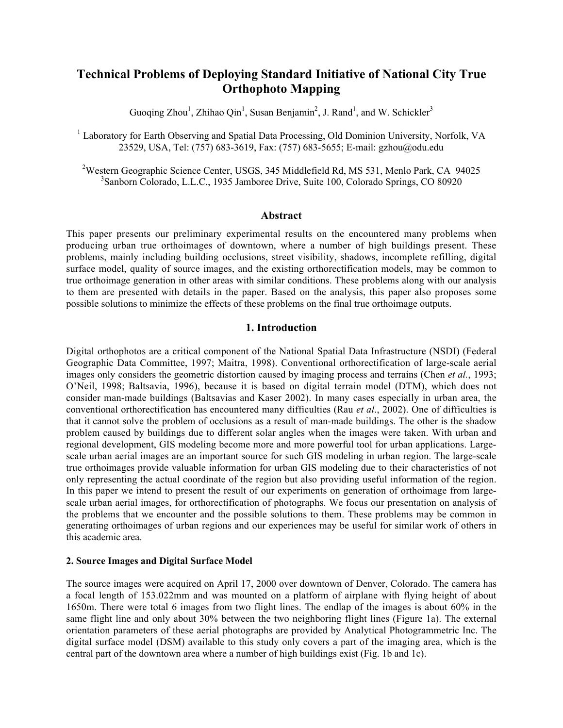# **Technical Problems of Deploying Standard Initiative of National City True Orthophoto Mapping**

Guoqing Zhou<sup>1</sup>, Zhihao Qin<sup>1</sup>, Susan Benjamin<sup>2</sup>, J. Rand<sup>1</sup>, and W. Schickler<sup>3</sup>

<sup>1</sup> Laboratory for Earth Observing and Spatial Data Processing, Old Dominion University, Norfolk, VA 23529, USA, Tel: (757) 683-3619, Fax: (757) 683-5655; E-mail: gzhou@odu.edu

<sup>2</sup>Western Geographic Science Center, USGS, 345 Middlefield Rd, MS 531, Menlo Park, CA 94025 3 Sanborn Colorado, L.L.C., 1935 Jamboree Drive, Suite 100, Colorado Springs, CO 80920

## **Abstract**

This paper presents our preliminary experimental results on the encountered many problems when producing urban true orthoimages of downtown, where a number of high buildings present. These problems, mainly including building occlusions, street visibility, shadows, incomplete refilling, digital surface model, quality of source images, and the existing orthorectification models, may be common to true orthoimage generation in other areas with similar conditions. These problems along with our analysis to them are presented with details in the paper. Based on the analysis, this paper also proposes some possible solutions to minimize the effects of these problems on the final true orthoimage outputs.

# **1. Introduction**

Digital orthophotos are a critical component of the National Spatial Data Infrastructure (NSDI) (Federal Geographic Data Committee, 1997; Maitra, 1998). Conventional orthorectification of large-scale aerial images only considers the geometric distortion caused by imaging process and terrains (Chen *et al.*, 1993; O'Neil, 1998; Baltsavia, 1996), because it is based on digital terrain model (DTM), which does not consider man-made buildings (Baltsavias and Kaser 2002). In many cases especially in urban area, the conventional orthorectification has encountered many difficulties (Rau *et al*., 2002). One of difficulties is that it cannot solve the problem of occlusions as a result of man-made buildings. The other is the shadow problem caused by buildings due to different solar angles when the images were taken. With urban and regional development, GIS modeling become more and more powerful tool for urban applications. Largescale urban aerial images are an important source for such GIS modeling in urban region. The large-scale true orthoimages provide valuable information for urban GIS modeling due to their characteristics of not only representing the actual coordinate of the region but also providing useful information of the region. In this paper we intend to present the result of our experiments on generation of orthoimage from largescale urban aerial images, for orthorectification of photographs. We focus our presentation on analysis of the problems that we encounter and the possible solutions to them. These problems may be common in generating orthoimages of urban regions and our experiences may be useful for similar work of others in this academic area.

# **2. Source Images and Digital Surface Model**

The source images were acquired on April 17, 2000 over downtown of Denver, Colorado. The camera has a focal length of 153.022mm and was mounted on a platform of airplane with flying height of about 1650m. There were total 6 images from two flight lines. The endlap of the images is about 60% in the same flight line and only about 30% between the two neighboring flight lines (Figure 1a). The external orientation parameters of these aerial photographs are provided by Analytical Photogrammetric Inc. The digital surface model (DSM) available to this study only covers a part of the imaging area, which is the central part of the downtown area where a number of high buildings exist (Fig. 1b and 1c).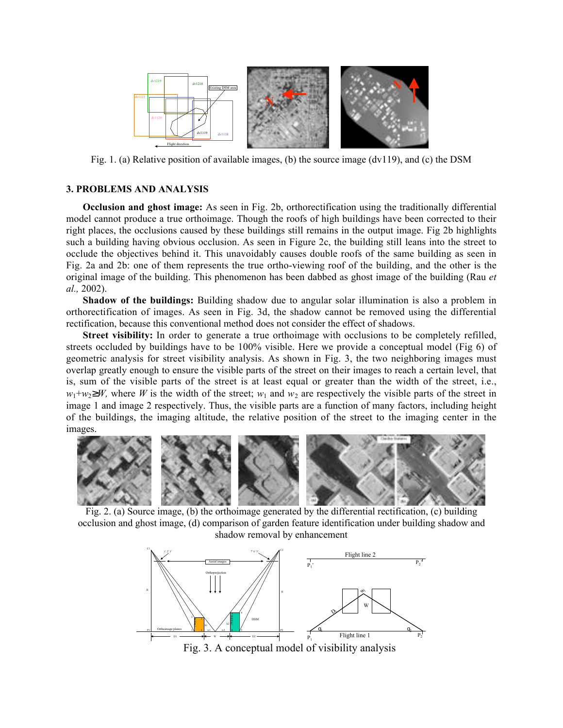

Fig. 1. (a) Relative position of available images, (b) the source image ( $dv119$ ), and (c) the DSM

## **3. PROBLEMS AND ANALYSIS**

**Occlusion and ghost image:** As seen in Fig. 2b, orthorectification using the traditionally differential model cannot produce a true orthoimage. Though the roofs of high buildings have been corrected to their right places, the occlusions caused by these buildings still remains in the output image. Fig 2b highlights such a building having obvious occlusion. As seen in Figure 2c, the building still leans into the street to occlude the objectives behind it. This unavoidably causes double roofs of the same building as seen in Fig. 2a and 2b: one of them represents the true ortho-viewing roof of the building, and the other is the original image of the building. This phenomenon has been dabbed as ghost image of the building (Rau *et al.,* 2002).

**Shadow of the buildings:** Building shadow due to angular solar illumination is also a problem in orthorectification of images. As seen in Fig. 3d, the shadow cannot be removed using the differential rectification, because this conventional method does not consider the effect of shadows.

**Street visibility:** In order to generate a true orthoimage with occlusions to be completely refilled, streets occluded by buildings have to be 100% visible. Here we provide a conceptual model (Fig 6) of geometric analysis for street visibility analysis. As shown in Fig. 3, the two neighboring images must overlap greatly enough to ensure the visible parts of the street on their images to reach a certain level, that is, sum of the visible parts of the street is at least equal or greater than the width of the street, i.e.,  $w_1 + w_2$  *W*, where *W* is the width of the street;  $w_1$  and  $w_2$  are respectively the visible parts of the street in image 1 and image 2 respectively. Thus, the visible parts are a function of many factors, including height of the buildings, the imaging altitude, the relative position of the street to the imaging center in the images.



 Fig. 2. (a) Source image, (b) the orthoimage generated by the differential rectification, (c) building occlusion and ghost image, (d) comparison of garden feature identification under building shadow and shadow removal by enhancement

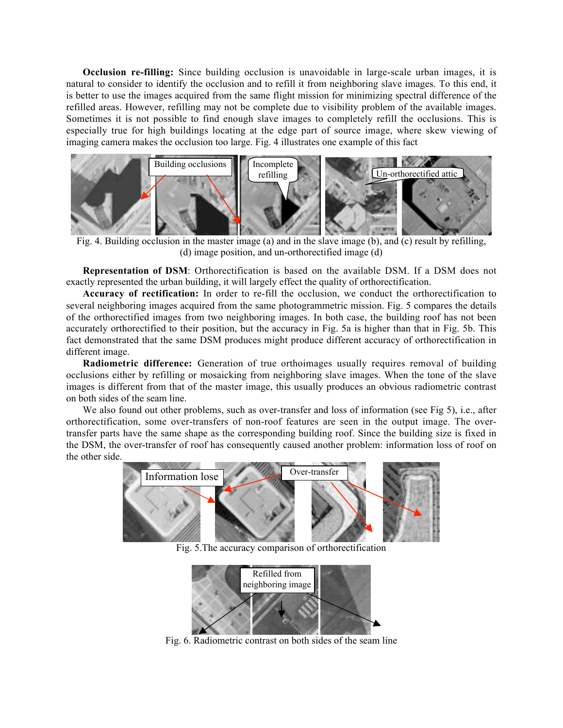**Occlusion re-filling:** Since building occlusion is unavoidable in large-scale urban images, it is natural to consider to identify the occlusion and to refill it from neighboring slave images. To this end, it is better to use the images acquired from the same flight mission for minimizing spectral difference of the refilled areas. However, refilling may not be complete due to visibility problem of the available images. Sometimes it is not possible to find enough slave images to completely refill the occlusions. This is especially true for high buildings locating at the edge part of source image, where skew viewing of imaging camera makes the occlusion too large. Fig. 4 illustrates one example of this fact



 Fig. 4. Building occlusion in the master image (a) and in the slave image (b), and (c) result by refilling, (d) image position, and un-orthorectified image (d)

**Representation of DSM**: Orthorectification is based on the available DSM. If a DSM does not exactly represented the urban building, it will largely effect the quality of orthorectification.

**Accuracy of rectification:** In order to re-fill the occlusion, we conduct the orthorectification to several neighboring images acquired from the same photogrammetric mission. Fig. 5 compares the details of the orthorectified images from two neighboring images. In both case, the building roof has not been accurately orthorectified to their position, but the accuracy in Fig. 5a is higher than that in Fig. 5b. This fact demonstrated that the same DSM produces might produce different accuracy of orthorectification in different image.

**Radiometric difference:** Generation of true orthoimages usually requires removal of building occlusions either by refilling or mosaicking from neighboring slave images. When the tone of the slave images is different from that of the master image, this usually produces an obvious radiometric contrast on both sides of the seam line.

We also found out other problems, such as over-transfer and loss of information (see Fig 5), i.e., after orthorectification, some over-transfers of non-roof features are seen in the output image. The overtransfer parts have the same shape as the corresponding building roof. Since the building size is fixed in the DSM, the over-transfer of roof has consequently caused another problem: information loss of roof on the other side.



Fig. 5.The accuracy comparison of orthorectification



Fig. 6. Radiometric contrast on both sides of the seam line